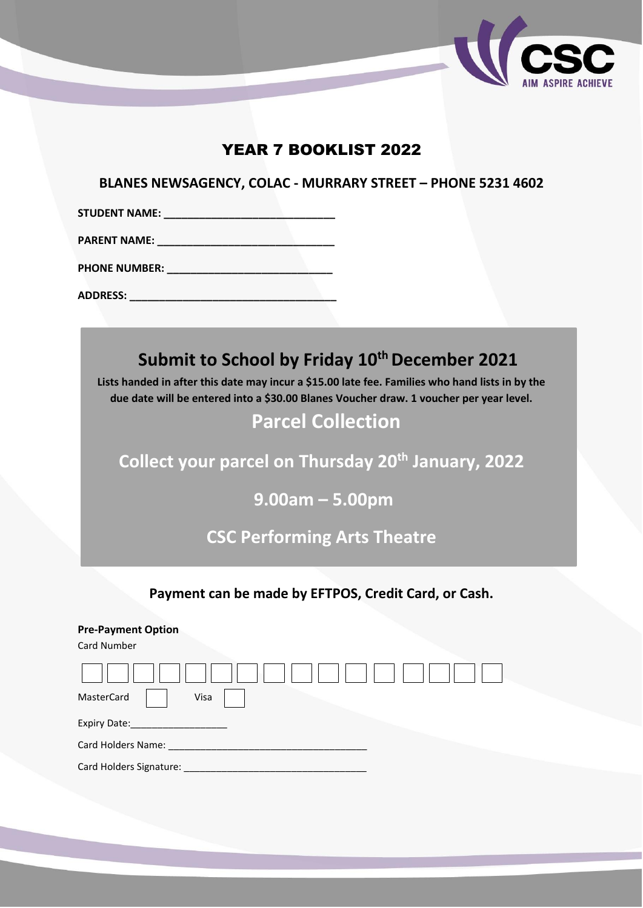

# YEAR 7 BOOKLIST 2022

**BLANES NEWSAGENCY, COLAC - MURRARY STREET – PHONE 5231 4602**

**STUDENT NAME: \_\_\_\_\_\_\_\_\_\_\_\_\_\_\_\_\_\_\_\_\_\_\_\_\_\_\_\_\_**

**PARENT NAME: \_\_\_\_\_\_\_\_\_\_\_\_\_\_\_\_\_\_\_\_\_\_\_\_\_\_\_\_\_\_**

**PHONE NUMBER:**  $\blacksquare$ 

**ADDRESS: \_\_\_\_\_\_\_\_\_\_\_\_\_\_\_\_\_\_\_\_\_\_\_\_\_\_\_\_\_\_\_\_\_\_\_**

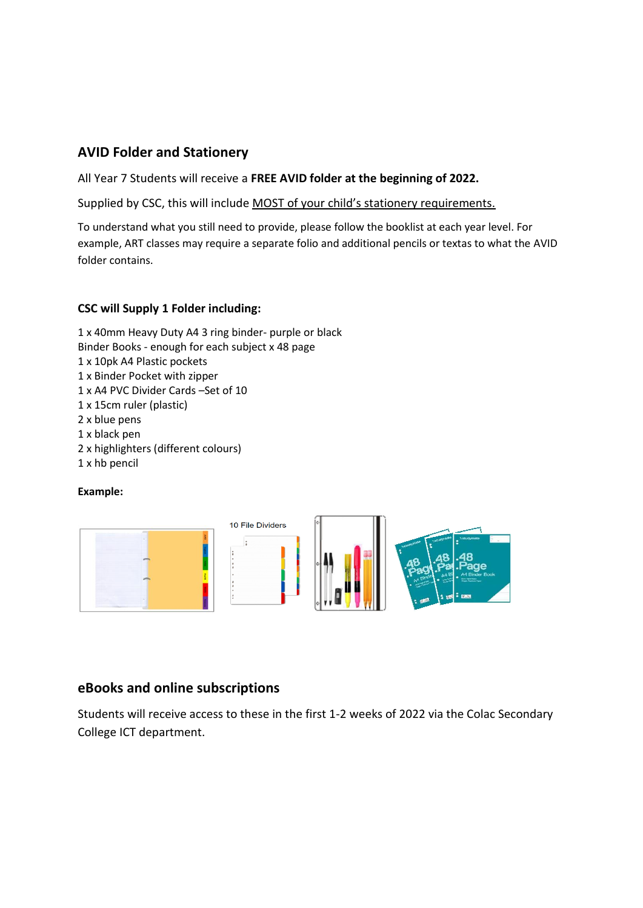## **AVID Folder and Stationery**

All Year 7 Students will receive a **FREE AVID folder at the beginning of 2022.**

Supplied by CSC, this will include MOST of your child's stationery requirements.

To understand what you still need to provide, please follow the booklist at each year level. For example, ART classes may require a separate folio and additional pencils or textas to what the AVID folder contains.

#### **CSC will Supply 1 Folder including:**

1 x 40mm Heavy Duty A4 3 ring binder- purple or black Binder Books - enough for each subject x 48 page 1 x 10pk A4 Plastic pockets 1 x Binder Pocket with zipper 1 x A4 PVC Divider Cards –Set of 10 1 x 15cm ruler (plastic) 2 x blue pens 1 x black pen 2 x highlighters (different colours) 1 x hb pencil

### **Example:**



## **eBooks and online subscriptions**

Students will receive access to these in the first 1-2 weeks of 2022 via the Colac Secondary College ICT department.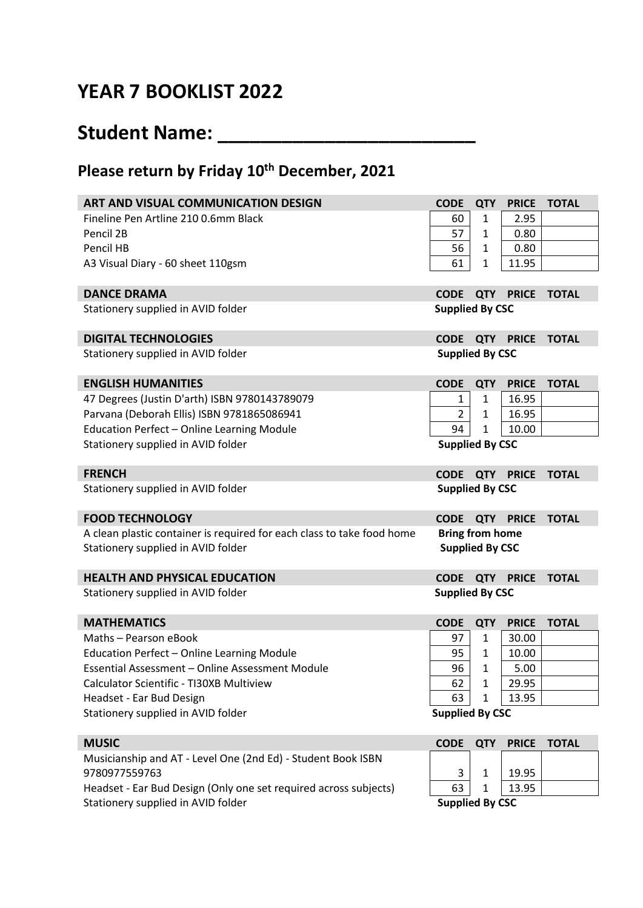# **YEAR 7 BOOKLIST 2022**

# **Student Name: \_\_\_\_\_\_\_\_\_\_\_\_\_\_\_\_\_\_\_\_\_\_\_\_**

## **Please return by Friday 10 th December, 2021**

| ART AND VISUAL COMMUNICATION DESIGN                                    | <b>CODE</b>            | <b>QTY</b>   | <b>PRICE</b>           | <b>TOTAL</b> |
|------------------------------------------------------------------------|------------------------|--------------|------------------------|--------------|
| Fineline Pen Artline 210 0.6mm Black                                   | 60                     | 1            | 2.95                   |              |
| Pencil 2B                                                              | 57                     | 1            | 0.80                   |              |
| Pencil HB                                                              | 56                     | 1            | 0.80                   |              |
| A3 Visual Diary - 60 sheet 110gsm                                      | 61                     | 1            | 11.95                  |              |
|                                                                        |                        |              |                        |              |
| <b>DANCE DRAMA</b>                                                     | <b>CODE</b>            |              | QTY PRICE TOTAL        |              |
| Stationery supplied in AVID folder                                     | <b>Supplied By CSC</b> |              |                        |              |
| <b>DIGITAL TECHNOLOGIES</b>                                            | <b>CODE</b>            |              | <b>QTY PRICE TOTAL</b> |              |
| Stationery supplied in AVID folder                                     | <b>Supplied By CSC</b> |              |                        |              |
| <b>ENGLISH HUMANITIES</b>                                              | <b>CODE</b>            | <b>QTY</b>   | <b>PRICE</b>           | <b>TOTAL</b> |
| 47 Degrees (Justin D'arth) ISBN 9780143789079                          | 1                      | $\mathbf{1}$ | 16.95                  |              |
| Parvana (Deborah Ellis) ISBN 9781865086941                             | $\overline{2}$         | 1            | 16.95                  |              |
| Education Perfect - Online Learning Module                             | 94                     | 1            | 10.00                  |              |
| Stationery supplied in AVID folder                                     | <b>Supplied By CSC</b> |              |                        |              |
| <b>FRENCH</b>                                                          | <b>CODE</b>            |              | <b>QTY PRICE</b>       | <b>TOTAL</b> |
| Stationery supplied in AVID folder                                     | <b>Supplied By CSC</b> |              |                        |              |
| <b>FOOD TECHNOLOGY</b>                                                 | <b>CODE</b>            | <b>QTY</b>   | <b>PRICE</b>           | <b>TOTAL</b> |
| A clean plastic container is required for each class to take food home | <b>Bring from home</b> |              |                        |              |
| Stationery supplied in AVID folder                                     | <b>Supplied By CSC</b> |              |                        |              |
| <b>HEALTH AND PHYSICAL EDUCATION</b>                                   | <b>CODE</b>            |              | <b>QTY PRICE</b>       | <b>TOTAL</b> |
| Stationery supplied in AVID folder                                     | <b>Supplied By CSC</b> |              |                        |              |
| <b>MATHEMATICS</b>                                                     | <b>CODE</b>            | <b>QTY</b>   | <b>PRICE</b>           | <b>TOTAL</b> |
| Maths - Pearson eBook                                                  | 97                     | 1            | 30.00                  |              |
| Education Perfect - Online Learning Module                             | 95                     | 1            | 10.00                  |              |
| Essential Assessment - Online Assessment Module                        | 96                     | 1            | 5.00                   |              |
| Calculator Scientific - TI30XB Multiview                               | 62                     | 1            | 29.95                  |              |
| Headset - Ear Bud Design                                               | 63                     | 1            | 13.95                  |              |
| Stationery supplied in AVID folder                                     | <b>Supplied By CSC</b> |              |                        |              |
| <b>MUSIC</b>                                                           | <b>CODE</b>            | <b>QTY</b>   | <b>PRICE</b>           | <b>TOTAL</b> |
| Musicianship and AT - Level One (2nd Ed) - Student Book ISBN           |                        |              |                        |              |
| 9780977559763                                                          | 3                      | $\mathbf 1$  | 19.95                  |              |

Headset - Ear Bud Design (Only one set required across subjects)  $\sqrt{63}$  1  $\sqrt{13.95}$ Stationery supplied in AVID folder **Supplied By CSC Supplied By CSC**